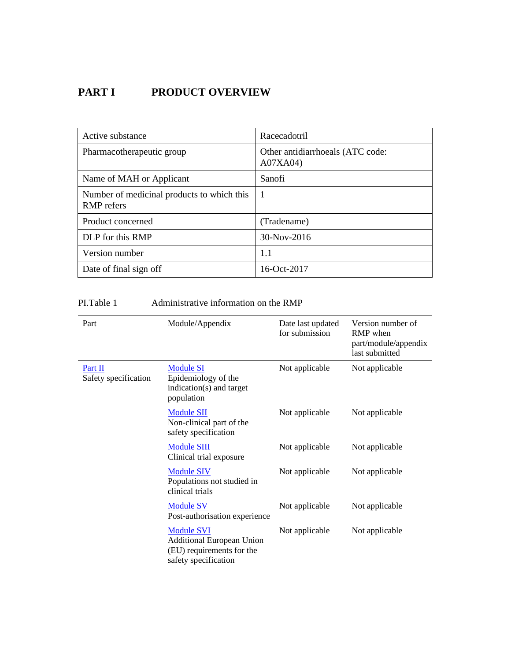# **PART I PRODUCT OVERVIEW**

| Active substance                                                | Racecadotril                                 |
|-----------------------------------------------------------------|----------------------------------------------|
| Pharmacotherapeutic group                                       | Other antidiarrhoeals (ATC code:<br>A07XA04) |
| Name of MAH or Applicant                                        | Sanofi                                       |
| Number of medicinal products to which this<br><b>RMP</b> refers | -1                                           |
| Product concerned                                               | (Tradename)                                  |
| DLP for this RMP                                                | 30-Nov-2016                                  |
| Version number                                                  | 1.1                                          |
| Date of final sign off                                          | 16-Oct-2017                                  |

## PI.Table 1 Administrative information on the RMP

| Part                            | Module/Appendix                                                                                            | Date last updated<br>for submission | Version number of<br>RMP when<br>part/module/appendix<br>last submitted |
|---------------------------------|------------------------------------------------------------------------------------------------------------|-------------------------------------|-------------------------------------------------------------------------|
| Part II<br>Safety specification | <b>Module SI</b><br>Epidemiology of the<br>indication(s) and target<br>population                          | Not applicable                      | Not applicable                                                          |
|                                 | <b>Module SII</b><br>Non-clinical part of the<br>safety specification                                      | Not applicable                      | Not applicable                                                          |
|                                 | <b>Module SIII</b><br>Clinical trial exposure                                                              | Not applicable                      | Not applicable                                                          |
|                                 | <b>Module SIV</b><br>Populations not studied in<br>clinical trials                                         | Not applicable                      | Not applicable                                                          |
|                                 | <b>Module SV</b><br>Post-authorisation experience                                                          | Not applicable                      | Not applicable                                                          |
|                                 | <b>Module SVI</b><br><b>Additional European Union</b><br>(EU) requirements for the<br>safety specification | Not applicable                      | Not applicable                                                          |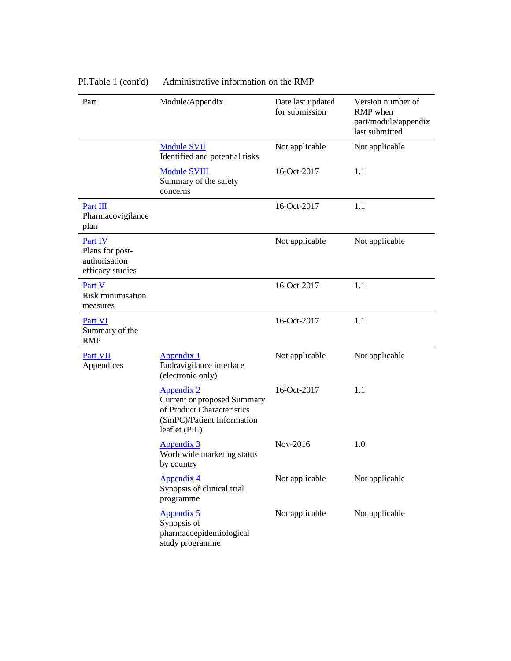| Part                                                                                                                                                                                                            | Module/Appendix                                                                                                                      | Date last updated<br>for submission | Version number of<br>RMP when<br>part/module/appendix<br>last submitted |
|-----------------------------------------------------------------------------------------------------------------------------------------------------------------------------------------------------------------|--------------------------------------------------------------------------------------------------------------------------------------|-------------------------------------|-------------------------------------------------------------------------|
|                                                                                                                                                                                                                 | <b>Module SVII</b><br>Identified and potential risks                                                                                 | Not applicable                      | Not applicable                                                          |
|                                                                                                                                                                                                                 | <b>Module SVIII</b><br>Summary of the safety<br>concerns                                                                             | 16-Oct-2017                         | 1.1                                                                     |
| Part III<br>Pharmacovigilance<br>plan                                                                                                                                                                           |                                                                                                                                      | 16-Oct-2017                         | 1.1                                                                     |
| Part IV<br>Plans for post-<br>authorisation<br>efficacy studies                                                                                                                                                 |                                                                                                                                      | Not applicable                      | Not applicable                                                          |
| Part V<br>Risk minimisation<br>measures                                                                                                                                                                         |                                                                                                                                      | 16-Oct-2017                         | 1.1                                                                     |
| Part VI<br>Summary of the<br><b>RMP</b>                                                                                                                                                                         |                                                                                                                                      | 16-Oct-2017                         | 1.1                                                                     |
| Part VII<br>Appendices                                                                                                                                                                                          | Appendix 1<br>Eudravigilance interface<br>(electronic only)                                                                          | Not applicable                      | Not applicable                                                          |
|                                                                                                                                                                                                                 | <b>Appendix 2</b><br><b>Current or proposed Summary</b><br>of Product Characteristics<br>(SmPC)/Patient Information<br>leaflet (PIL) | 16-Oct-2017                         | 1.1                                                                     |
| <b>Appendix 3</b><br>Worldwide marketing status<br>by country<br><b>Appendix 4</b><br>Synopsis of clinical trial<br>programme<br><b>Appendix 5</b><br>Synopsis of<br>pharmacoepidemiological<br>study programme | Nov-2016                                                                                                                             | 1.0                                 |                                                                         |
|                                                                                                                                                                                                                 |                                                                                                                                      | Not applicable                      | Not applicable                                                          |
|                                                                                                                                                                                                                 | Not applicable                                                                                                                       | Not applicable                      |                                                                         |

# PI.Table 1 (cont'd) Administrative information on the RMP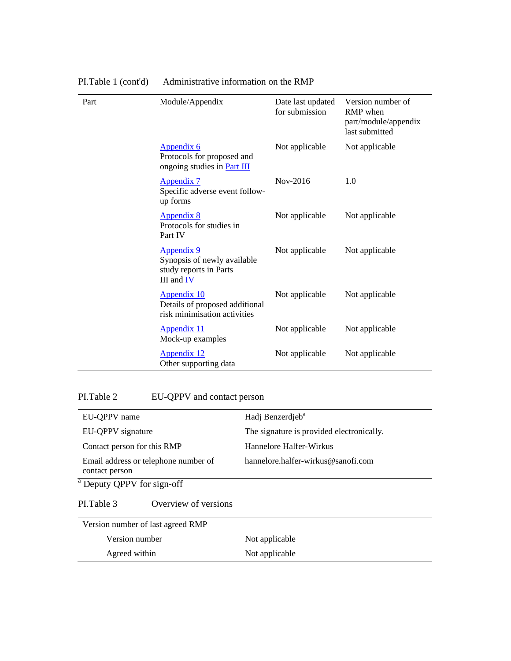| Part | Module/Appendix                                                                       | Date last updated<br>for submission | Version number of<br>RMP when<br>part/module/appendix<br>last submitted |
|------|---------------------------------------------------------------------------------------|-------------------------------------|-------------------------------------------------------------------------|
|      | <u>Appendix 6</u><br>Protocols for proposed and<br>ongoing studies in <b>Part III</b> | Not applicable                      | Not applicable                                                          |
|      | Appendix 7<br>Specific adverse event follow-<br>up forms                              | Nov-2016                            | 1.0                                                                     |
|      | <b>Appendix 8</b><br>Protocols for studies in<br>Part IV                              | Not applicable                      | Not applicable                                                          |
|      | Appendix 9<br>Synopsis of newly available<br>study reports in Parts<br>III and IV     | Not applicable                      | Not applicable                                                          |
|      | <b>Appendix 10</b><br>Details of proposed additional<br>risk minimisation activities  | Not applicable                      | Not applicable                                                          |
|      | Appendix 11<br>Mock-up examples                                                       | Not applicable                      | Not applicable                                                          |
|      | <b>Appendix 12</b><br>Other supporting data                                           | Not applicable                      | Not applicable                                                          |

# PI.Table 1 (cont'd) Administrative information on the RMP

# PI.Table 2 EU-QPPV and contact person

| EU-QPPV name                                           | Hadj Benzerdjeb <sup>a</sup>              |
|--------------------------------------------------------|-------------------------------------------|
| EU-QPPV signature                                      | The signature is provided electronically. |
| Contact person for this RMP                            | Hannelore Halfer-Wirkus                   |
| Email address or telephone number of<br>contact person | hannelore halfer-wirkus@sanofi.com        |
| <sup>a</sup> Deputy QPPV for sign-off                  |                                           |
| Overview of versions<br>PL Table 3                     |                                           |
| Version number of last agreed RMP                      |                                           |
| Version number                                         | Not applicable                            |
| Agreed within                                          | Not applicable                            |
|                                                        |                                           |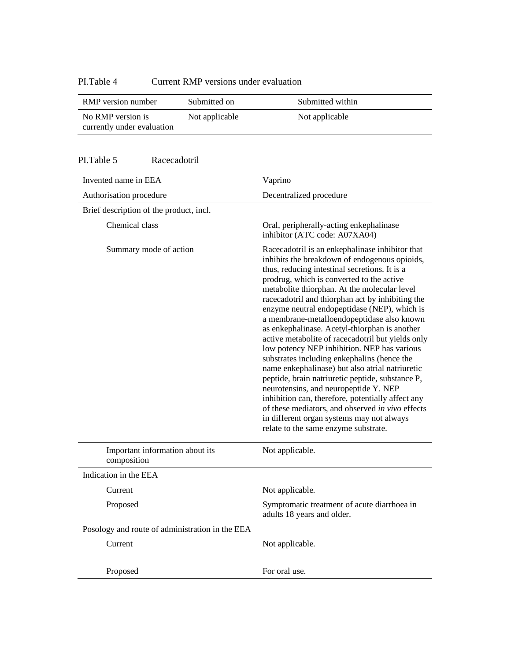## PI.Table 4 Current RMP versions under evaluation

| RMP version number                              | Submitted on   | Submitted within |
|-------------------------------------------------|----------------|------------------|
| No RMP version is<br>currently under evaluation | Not applicable | Not applicable   |

#### PI.Table 5 Racecadotril

| Invented name in EEA<br>Vaprino<br>Decentralized procedure<br>Authorisation procedure<br>Brief description of the product, incl.<br>Chemical class<br>Oral, peripherally-acting enkephalinase<br>inhibitor (ATC code: A07XA04)<br>Summary mode of action<br>Racecadotril is an enkephalinase inhibitor that<br>inhibits the breakdown of endogenous opioids,<br>thus, reducing intestinal secretions. It is a<br>prodrug, which is converted to the active<br>metabolite thiorphan. At the molecular level<br>racecadotril and thiorphan act by inhibiting the<br>enzyme neutral endopeptidase (NEP), which is<br>a membrane-metalloendopeptidase also known<br>as enkephalinase. Acetyl-thiorphan is another<br>active metabolite of racecadotril but yields only<br>low potency NEP inhibition. NEP has various<br>substrates including enkephalins (hence the<br>name enkephalinase) but also atrial natriuretic<br>peptide, brain natriuretic peptide, substance P,<br>neurotensins, and neuropeptide Y. NEP<br>inhibition can, therefore, potentially affect any<br>of these mediators, and observed in vivo effects<br>in different organ systems may not always<br>relate to the same enzyme substrate.<br>Important information about its<br>Not applicable.<br>composition<br>Indication in the EEA<br>Not applicable.<br>Current<br>Proposed<br>Symptomatic treatment of acute diarrhoea in<br>adults 18 years and older.<br>Posology and route of administration in the EEA<br>Current<br>Not applicable.<br>Proposed<br>For oral use. |  |
|---------------------------------------------------------------------------------------------------------------------------------------------------------------------------------------------------------------------------------------------------------------------------------------------------------------------------------------------------------------------------------------------------------------------------------------------------------------------------------------------------------------------------------------------------------------------------------------------------------------------------------------------------------------------------------------------------------------------------------------------------------------------------------------------------------------------------------------------------------------------------------------------------------------------------------------------------------------------------------------------------------------------------------------------------------------------------------------------------------------------------------------------------------------------------------------------------------------------------------------------------------------------------------------------------------------------------------------------------------------------------------------------------------------------------------------------------------------------------------------------------------------------------------------------------|--|
|                                                                                                                                                                                                                                                                                                                                                                                                                                                                                                                                                                                                                                                                                                                                                                                                                                                                                                                                                                                                                                                                                                                                                                                                                                                                                                                                                                                                                                                                                                                                                   |  |
|                                                                                                                                                                                                                                                                                                                                                                                                                                                                                                                                                                                                                                                                                                                                                                                                                                                                                                                                                                                                                                                                                                                                                                                                                                                                                                                                                                                                                                                                                                                                                   |  |
|                                                                                                                                                                                                                                                                                                                                                                                                                                                                                                                                                                                                                                                                                                                                                                                                                                                                                                                                                                                                                                                                                                                                                                                                                                                                                                                                                                                                                                                                                                                                                   |  |
|                                                                                                                                                                                                                                                                                                                                                                                                                                                                                                                                                                                                                                                                                                                                                                                                                                                                                                                                                                                                                                                                                                                                                                                                                                                                                                                                                                                                                                                                                                                                                   |  |
|                                                                                                                                                                                                                                                                                                                                                                                                                                                                                                                                                                                                                                                                                                                                                                                                                                                                                                                                                                                                                                                                                                                                                                                                                                                                                                                                                                                                                                                                                                                                                   |  |
|                                                                                                                                                                                                                                                                                                                                                                                                                                                                                                                                                                                                                                                                                                                                                                                                                                                                                                                                                                                                                                                                                                                                                                                                                                                                                                                                                                                                                                                                                                                                                   |  |
|                                                                                                                                                                                                                                                                                                                                                                                                                                                                                                                                                                                                                                                                                                                                                                                                                                                                                                                                                                                                                                                                                                                                                                                                                                                                                                                                                                                                                                                                                                                                                   |  |
|                                                                                                                                                                                                                                                                                                                                                                                                                                                                                                                                                                                                                                                                                                                                                                                                                                                                                                                                                                                                                                                                                                                                                                                                                                                                                                                                                                                                                                                                                                                                                   |  |
|                                                                                                                                                                                                                                                                                                                                                                                                                                                                                                                                                                                                                                                                                                                                                                                                                                                                                                                                                                                                                                                                                                                                                                                                                                                                                                                                                                                                                                                                                                                                                   |  |
|                                                                                                                                                                                                                                                                                                                                                                                                                                                                                                                                                                                                                                                                                                                                                                                                                                                                                                                                                                                                                                                                                                                                                                                                                                                                                                                                                                                                                                                                                                                                                   |  |
|                                                                                                                                                                                                                                                                                                                                                                                                                                                                                                                                                                                                                                                                                                                                                                                                                                                                                                                                                                                                                                                                                                                                                                                                                                                                                                                                                                                                                                                                                                                                                   |  |
|                                                                                                                                                                                                                                                                                                                                                                                                                                                                                                                                                                                                                                                                                                                                                                                                                                                                                                                                                                                                                                                                                                                                                                                                                                                                                                                                                                                                                                                                                                                                                   |  |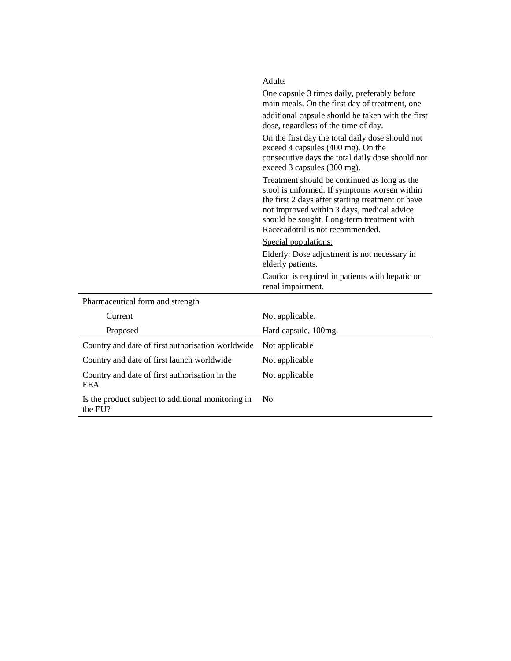|                                                               | Adults                                                                                                                                                                                                                                                                            |
|---------------------------------------------------------------|-----------------------------------------------------------------------------------------------------------------------------------------------------------------------------------------------------------------------------------------------------------------------------------|
|                                                               | One capsule 3 times daily, preferably before<br>main meals. On the first day of treatment, one                                                                                                                                                                                    |
|                                                               | additional capsule should be taken with the first<br>dose, regardless of the time of day.                                                                                                                                                                                         |
|                                                               | On the first day the total daily dose should not<br>exceed 4 capsules (400 mg). On the<br>consecutive days the total daily dose should not<br>exceed 3 capsules (300 mg).                                                                                                         |
|                                                               | Treatment should be continued as long as the<br>stool is unformed. If symptoms worsen within<br>the first 2 days after starting treatment or have<br>not improved within 3 days, medical advice<br>should be sought. Long-term treatment with<br>Racecadotril is not recommended. |
|                                                               | Special populations:                                                                                                                                                                                                                                                              |
|                                                               | Elderly: Dose adjustment is not necessary in<br>elderly patients.                                                                                                                                                                                                                 |
|                                                               | Caution is required in patients with hepatic or<br>renal impairment.                                                                                                                                                                                                              |
| Pharmaceutical form and strength                              |                                                                                                                                                                                                                                                                                   |
| Current                                                       | Not applicable.                                                                                                                                                                                                                                                                   |
| Proposed                                                      | Hard capsule, 100mg.                                                                                                                                                                                                                                                              |
| Country and date of first authorisation worldwide             | Not applicable                                                                                                                                                                                                                                                                    |
| Country and date of first launch worldwide                    | Not applicable                                                                                                                                                                                                                                                                    |
| Country and date of first authorisation in the<br><b>EEA</b>  | Not applicable                                                                                                                                                                                                                                                                    |
| Is the product subject to additional monitoring in<br>the EU? | N <sub>0</sub>                                                                                                                                                                                                                                                                    |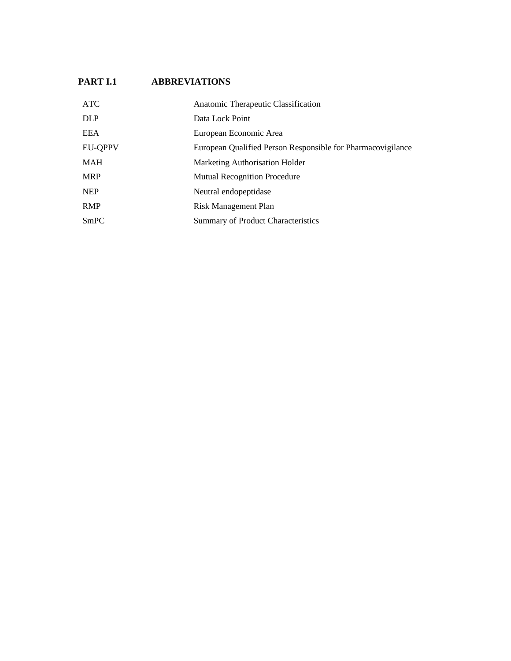## **PART I.1 ABBREVIATIONS**

| <b>ATC</b>     | Anatomic Therapeutic Classification                         |
|----------------|-------------------------------------------------------------|
| <b>DLP</b>     | Data Lock Point                                             |
| EEA            | European Economic Area                                      |
| <b>EU-QPPV</b> | European Qualified Person Responsible for Pharmacovigilance |
| <b>MAH</b>     | Marketing Authorisation Holder                              |
| <b>MRP</b>     | <b>Mutual Recognition Procedure</b>                         |
| <b>NEP</b>     | Neutral endopeptidase                                       |
| <b>RMP</b>     | <b>Risk Management Plan</b>                                 |
| SmPC           | Summary of Product Characteristics                          |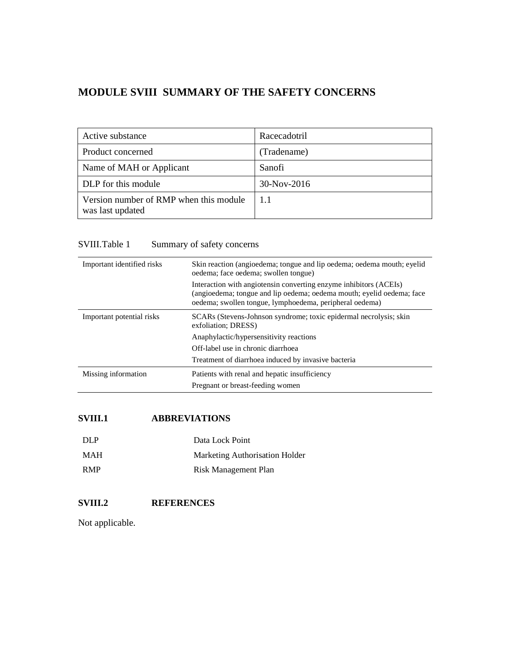# **MODULE SVIII SUMMARY OF THE SAFETY CONCERNS**

| Active substance                                           | Racecadotril  |
|------------------------------------------------------------|---------------|
| Product concerned                                          | (Tradename)   |
| Name of MAH or Applicant                                   | Sanofi        |
| DLP for this module                                        | $30-Nov-2016$ |
| Version number of RMP when this module<br>was last updated | 11            |

## SVIII.Table 1 Summary of safety concerns

| Important identified risks | Skin reaction (angioedema; tongue and lip oedema; oedema mouth; eyelid<br>oedema; face oedema; swollen tongue)                                                                                        |
|----------------------------|-------------------------------------------------------------------------------------------------------------------------------------------------------------------------------------------------------|
|                            | Interaction with angiotensin converting enzyme inhibitors (ACEIs)<br>(angioedema; tongue and lip oedema; oedema mouth; eyelid oedema; face<br>oedema; swollen tongue, lymphoedema, peripheral oedema) |
| Important potential risks  | SCARs (Stevens-Johnson syndrome; toxic epidermal necrolysis; skin<br>exfoliation; DRESS)                                                                                                              |
|                            | Anaphylactic/hypersensitivity reactions                                                                                                                                                               |
|                            | Off-label use in chronic diarrhoea                                                                                                                                                                    |
|                            | Treatment of diarrhoea induced by invasive bacteria                                                                                                                                                   |
| Missing information        | Patients with renal and hepatic insufficiency                                                                                                                                                         |
|                            | Pregnant or breast-feeding women                                                                                                                                                                      |

## **SVIII.1 ABBREVIATIONS**

| DLP        | Data Lock Point                |
|------------|--------------------------------|
| MAH        | Marketing Authorisation Holder |
| <b>RMP</b> | Risk Management Plan           |

## **SVIII.2 REFERENCES**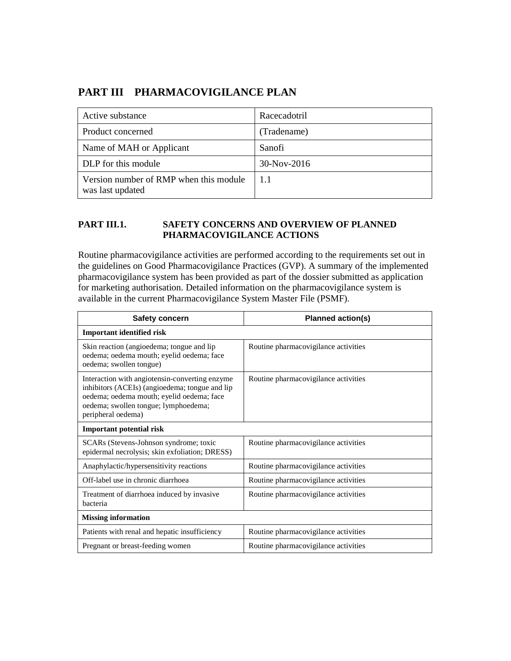# **PART III PHARMACOVIGILANCE PLAN**

| Active substance                                           | Racecadotril |
|------------------------------------------------------------|--------------|
| Product concerned                                          | (Tradename)  |
| Name of MAH or Applicant                                   | Sanofi       |
| DLP for this module                                        | 30-Nov-2016  |
| Version number of RMP when this module<br>was last updated | 11           |

#### **PART III.1. SAFETY CONCERNS AND OVERVIEW OF PLANNED PHARMACOVIGILANCE ACTIONS**

Routine pharmacovigilance activities are performed according to the requirements set out in the guidelines on Good Pharmacovigilance Practices (GVP). A summary of the implemented pharmacovigilance system has been provided as part of the dossier submitted as application for marketing authorisation. Detailed information on the pharmacovigilance system is available in the current Pharmacovigilance System Master File (PSMF).

| Safety concern                                                                                                                                                                                              | Planned action(s)                    |  |
|-------------------------------------------------------------------------------------------------------------------------------------------------------------------------------------------------------------|--------------------------------------|--|
| <b>Important identified risk</b>                                                                                                                                                                            |                                      |  |
| Skin reaction (angioedema; tongue and lip<br>oedema; oedema mouth; eyelid oedema; face<br>oedema; swollen tongue)                                                                                           | Routine pharmacovigilance activities |  |
| Interaction with angiotensin-converting enzyme<br>inhibitors (ACEIs) (angioedema; tongue and lip<br>oedema; oedema mouth; eyelid oedema; face<br>oedema; swollen tongue; lymphoedema;<br>peripheral oedema) | Routine pharmacovigilance activities |  |
| <b>Important potential risk</b>                                                                                                                                                                             |                                      |  |
| SCARs (Stevens-Johnson syndrome; toxic<br>epidermal necrolysis; skin exfoliation; DRESS)                                                                                                                    | Routine pharmacovigilance activities |  |
| Anaphylactic/hypersensitivity reactions                                                                                                                                                                     | Routine pharmacovigilance activities |  |
| Off-label use in chronic diarrhoea                                                                                                                                                                          | Routine pharmacovigilance activities |  |
| Treatment of diarrhoea induced by invasive<br>bacteria                                                                                                                                                      | Routine pharmacovigilance activities |  |
| <b>Missing information</b>                                                                                                                                                                                  |                                      |  |
| Patients with renal and hepatic insufficiency                                                                                                                                                               | Routine pharmacovigilance activities |  |
| Pregnant or breast-feeding women                                                                                                                                                                            | Routine pharmacovigilance activities |  |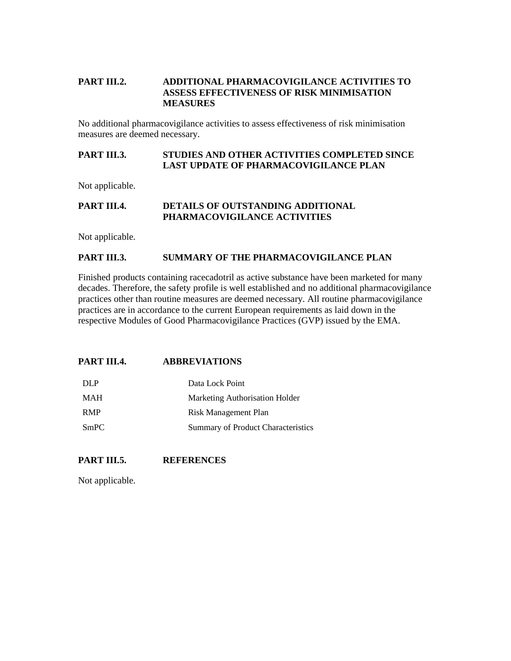#### **PART III.2. ADDITIONAL PHARMACOVIGILANCE ACTIVITIES TO ASSESS EFFECTIVENESS OF RISK MINIMISATION MEASURES**

No additional pharmacovigilance activities to assess effectiveness of risk minimisation measures are deemed necessary.

#### **PART III.3. STUDIES AND OTHER ACTIVITIES COMPLETED SINCE LAST UPDATE OF PHARMACOVIGILANCE PLAN**

Not applicable.

#### **PART III.4. DETAILS OF OUTSTANDING ADDITIONAL PHARMACOVIGILANCE ACTIVITIES**

Not applicable.

#### **PART III.3. SUMMARY OF THE PHARMACOVIGILANCE PLAN**

Finished products containing racecadotril as active substance have been marketed for many decades. Therefore, the safety profile is well established and no additional pharmacovigilance practices other than routine measures are deemed necessary. All routine pharmacovigilance practices are in accordance to the current European requirements as laid down in the respective Modules of Good Pharmacovigilance Practices (GVP) issued by the EMA.

#### **PART III.4. ABBREVIATIONS**

| DLP        | Data Lock Point                    |
|------------|------------------------------------|
| MAH        | Marketing Authorisation Holder     |
| <b>RMP</b> | Risk Management Plan               |
| SmPC       | Summary of Product Characteristics |

#### **PART III.5. REFERENCES**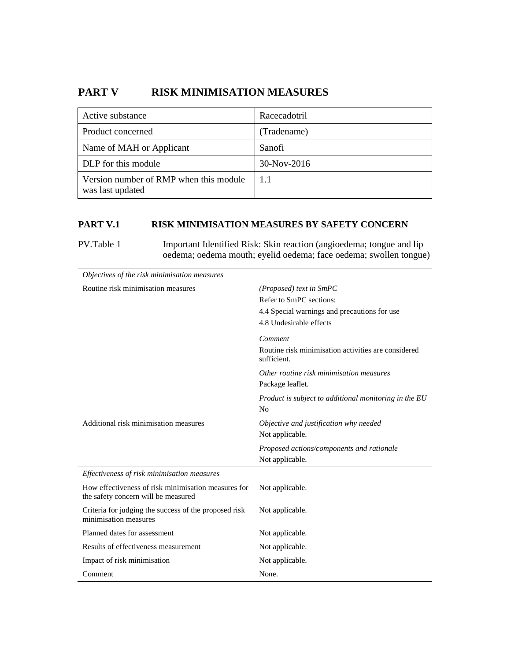# **PART V RISK MINIMISATION MEASURES**

| Active substance                                           | Racecadotril |
|------------------------------------------------------------|--------------|
| Product concerned                                          | (Tradename)  |
| Name of MAH or Applicant                                   | Sanofi       |
| DLP for this module                                        | 30-Nov-2016  |
| Version number of RMP when this module<br>was last updated | 11           |

#### **PART V.1 RISK MINIMISATION MEASURES BY SAFETY CONCERN**

PV.Table 1 Important Identified Risk: Skin reaction (angioedema; tongue and lip oedema; oedema mouth; eyelid oedema; face oedema; swollen tongue)

| Objectives of the risk minimisation measures                                               |                                                                    |
|--------------------------------------------------------------------------------------------|--------------------------------------------------------------------|
| Routine risk minimisation measures                                                         | $(Proposed)$ text in SmPC                                          |
|                                                                                            | Refer to SmPC sections:                                            |
|                                                                                            | 4.4 Special warnings and precautions for use                       |
|                                                                                            | 4.8 Undesirable effects                                            |
|                                                                                            | Comment                                                            |
|                                                                                            | Routine risk minimisation activities are considered<br>sufficient. |
|                                                                                            | Other routine risk minimisation measures                           |
|                                                                                            | Package leaflet.                                                   |
|                                                                                            | Product is subject to additional monitoring in the EU              |
|                                                                                            | No                                                                 |
| Additional risk minimisation measures                                                      | Objective and justification why needed                             |
|                                                                                            | Not applicable.                                                    |
|                                                                                            | Proposed actions/components and rationale                          |
|                                                                                            | Not applicable.                                                    |
| Effectiveness of risk minimisation measures                                                |                                                                    |
| How effectiveness of risk minimisation measures for<br>the safety concern will be measured | Not applicable.                                                    |
| Criteria for judging the success of the proposed risk<br>minimisation measures             | Not applicable.                                                    |
| Planned dates for assessment                                                               | Not applicable.                                                    |
| Results of effectiveness measurement                                                       | Not applicable.                                                    |
| Impact of risk minimisation                                                                | Not applicable.                                                    |
| Comment                                                                                    | None.                                                              |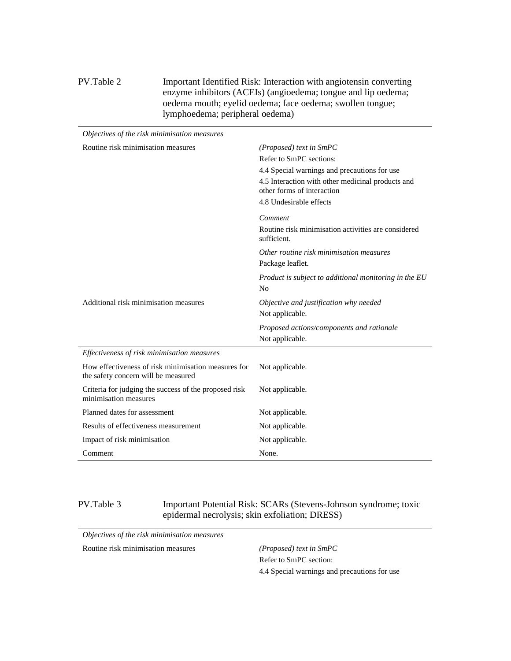#### PV.Table 2 Important Identified Risk: Interaction with angiotensin converting enzyme inhibitors (ACEIs) (angioedema; tongue and lip oedema; oedema mouth; eyelid oedema; face oedema; swollen tongue; lymphoedema; peripheral oedema)

| Objectives of the risk minimisation measures                                               |                                                                                 |
|--------------------------------------------------------------------------------------------|---------------------------------------------------------------------------------|
| Routine risk minimisation measures                                                         | (Proposed) text in SmPC                                                         |
|                                                                                            | Refer to SmPC sections:                                                         |
|                                                                                            | 4.4 Special warnings and precautions for use                                    |
|                                                                                            | 4.5 Interaction with other medicinal products and<br>other forms of interaction |
|                                                                                            | 4.8 Undesirable effects                                                         |
|                                                                                            | Comment                                                                         |
|                                                                                            | Routine risk minimisation activities are considered<br>sufficient.              |
|                                                                                            | Other routine risk minimisation measures                                        |
|                                                                                            | Package leaflet.                                                                |
|                                                                                            | Product is subject to additional monitoring in the EU                           |
|                                                                                            | No                                                                              |
| Additional risk minimisation measures                                                      | Objective and justification why needed                                          |
|                                                                                            | Not applicable.                                                                 |
|                                                                                            | Proposed actions/components and rationale                                       |
|                                                                                            | Not applicable.                                                                 |
| Effectiveness of risk minimisation measures                                                |                                                                                 |
| How effectiveness of risk minimisation measures for<br>the safety concern will be measured | Not applicable.                                                                 |
| Criteria for judging the success of the proposed risk<br>minimisation measures             | Not applicable.                                                                 |
| Planned dates for assessment                                                               | Not applicable.                                                                 |
| Results of effectiveness measurement                                                       | Not applicable.                                                                 |
| Impact of risk minimisation                                                                | Not applicable.                                                                 |
| Comment                                                                                    | None.                                                                           |

PV.Table 3 Important Potential Risk: SCARs (Stevens-Johnson syndrome; toxic epidermal necrolysis; skin exfoliation; DRESS)

*Objectives of the risk minimisation measures* 

Routine risk minimisation measures *(Proposed) text in SmPC* 

Refer to SmPC section: 4.4 Special warnings and precautions for use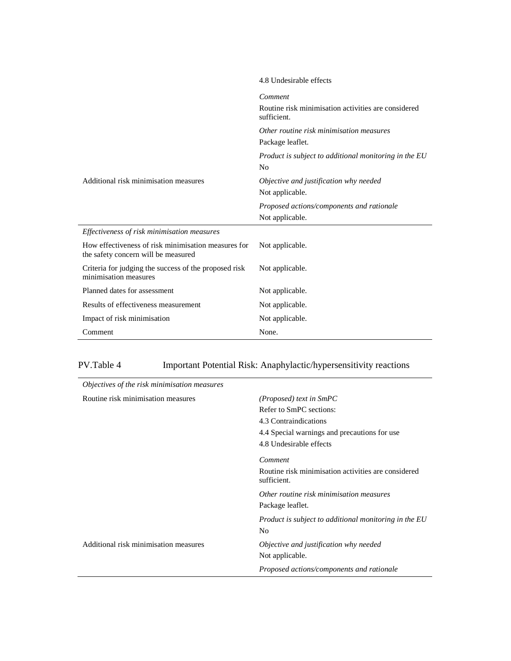|                                                                                            | 4.8 Undesirable effects                                                 |
|--------------------------------------------------------------------------------------------|-------------------------------------------------------------------------|
|                                                                                            | Comment                                                                 |
|                                                                                            | Routine risk minimisation activities are considered<br>sufficient.      |
|                                                                                            | Other routine risk minimisation measures                                |
|                                                                                            | Package leaflet.                                                        |
|                                                                                            | Product is subject to additional monitoring in the EU<br>N <sub>0</sub> |
| Additional risk minimisation measures                                                      | Objective and justification why needed                                  |
|                                                                                            | Not applicable.                                                         |
|                                                                                            | Proposed actions/components and rationale                               |
|                                                                                            | Not applicable.                                                         |
| Effectiveness of risk minimisation measures                                                |                                                                         |
| How effectiveness of risk minimisation measures for<br>the safety concern will be measured | Not applicable.                                                         |
| Criteria for judging the success of the proposed risk<br>minimisation measures             | Not applicable.                                                         |
| Planned dates for assessment                                                               | Not applicable.                                                         |
| Results of effectiveness measurement                                                       | Not applicable.                                                         |
| Impact of risk minimisation                                                                | Not applicable.                                                         |
| Comment                                                                                    | None.                                                                   |

# PV.Table 4 Important Potential Risk: Anaphylactic/hypersensitivity reactions

| Objectives of the risk minimisation measures |                                                                    |
|----------------------------------------------|--------------------------------------------------------------------|
| Routine risk minimisation measures           | $(Proposed)$ text in $SmPC$                                        |
|                                              | Refer to SmPC sections:                                            |
|                                              | 4.3 Contraindications                                              |
|                                              | 4.4 Special warnings and precautions for use                       |
|                                              | 4.8 Undesirable effects                                            |
|                                              | Comment                                                            |
|                                              | Routine risk minimisation activities are considered<br>sufficient. |
|                                              | Other routine risk minimisation measures                           |
|                                              | Package leaflet.                                                   |
|                                              | Product is subject to additional monitoring in the EU              |
|                                              | No                                                                 |
| Additional risk minimisation measures        | Objective and justification why needed                             |
|                                              | Not applicable.                                                    |
|                                              | Proposed actions/components and rationale                          |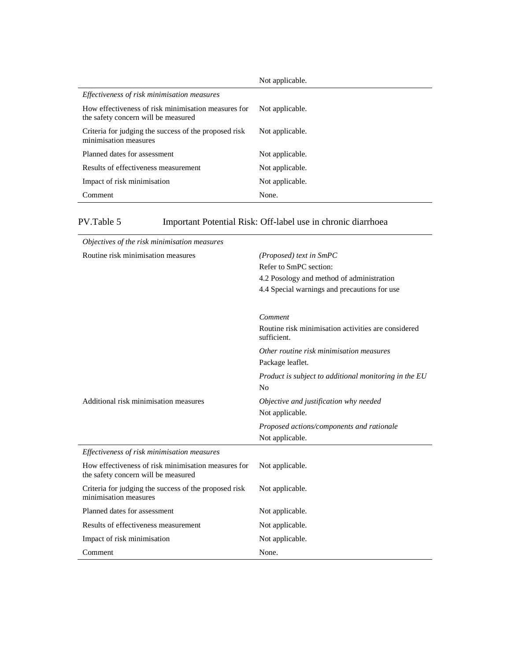|                                                                                            | Not applicable. |
|--------------------------------------------------------------------------------------------|-----------------|
| Effectiveness of risk minimisation measures                                                |                 |
| How effectiveness of risk minimisation measures for<br>the safety concern will be measured | Not applicable. |
| Criteria for judging the success of the proposed risk<br>minimisation measures             | Not applicable. |
| Planned dates for assessment                                                               | Not applicable. |
| Results of effectiveness measurement                                                       | Not applicable. |
| Impact of risk minimisation                                                                | Not applicable. |
| Comment                                                                                    | None.           |

PV.Table 5 Important Potential Risk: Off-label use in chronic diarrhoea

| Objectives of the risk minimisation measures                                               |                                                                    |
|--------------------------------------------------------------------------------------------|--------------------------------------------------------------------|
| Routine risk minimisation measures                                                         | $(Proposed)$ text in SmPC                                          |
|                                                                                            | Refer to SmPC section:                                             |
|                                                                                            | 4.2 Posology and method of administration                          |
|                                                                                            | 4.4 Special warnings and precautions for use                       |
|                                                                                            |                                                                    |
|                                                                                            | Comment                                                            |
|                                                                                            | Routine risk minimisation activities are considered<br>sufficient. |
|                                                                                            | Other routine risk minimisation measures                           |
|                                                                                            | Package leaflet.                                                   |
|                                                                                            | Product is subject to additional monitoring in the EU              |
|                                                                                            | N <sub>0</sub>                                                     |
| Additional risk minimisation measures                                                      | Objective and justification why needed                             |
|                                                                                            | Not applicable.                                                    |
|                                                                                            | Proposed actions/components and rationale                          |
|                                                                                            | Not applicable.                                                    |
| Effectiveness of risk minimisation measures                                                |                                                                    |
| How effectiveness of risk minimisation measures for<br>the safety concern will be measured | Not applicable.                                                    |
| Criteria for judging the success of the proposed risk<br>minimisation measures             | Not applicable.                                                    |
| Planned dates for assessment                                                               | Not applicable.                                                    |
| Results of effectiveness measurement                                                       | Not applicable.                                                    |
| Impact of risk minimisation                                                                | Not applicable.                                                    |
| Comment                                                                                    | None.                                                              |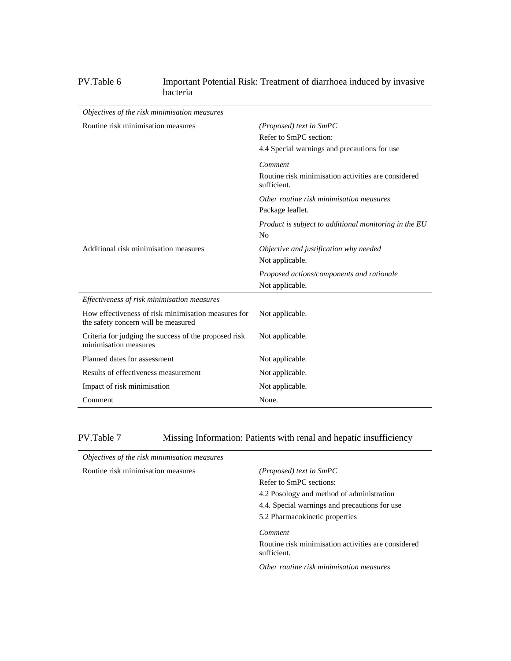## PV.Table 6 Important Potential Risk: Treatment of diarrhoea induced by invasive bacteria

| Objectives of the risk minimisation measures                                               |                                                                    |
|--------------------------------------------------------------------------------------------|--------------------------------------------------------------------|
| Routine risk minimisation measures                                                         | $(Proposed)$ text in SmPC                                          |
|                                                                                            | Refer to SmPC section:                                             |
|                                                                                            | 4.4 Special warnings and precautions for use                       |
|                                                                                            | Comment                                                            |
|                                                                                            | Routine risk minimisation activities are considered<br>sufficient. |
|                                                                                            | Other routine risk minimisation measures                           |
|                                                                                            | Package leaflet.                                                   |
|                                                                                            | Product is subject to additional monitoring in the EU              |
|                                                                                            | N <sub>o</sub>                                                     |
| Additional risk minimisation measures                                                      | Objective and justification why needed                             |
|                                                                                            | Not applicable.                                                    |
|                                                                                            | Proposed actions/components and rationale                          |
|                                                                                            | Not applicable.                                                    |
| Effectiveness of risk minimisation measures                                                |                                                                    |
| How effectiveness of risk minimisation measures for<br>the safety concern will be measured | Not applicable.                                                    |
| Criteria for judging the success of the proposed risk<br>minimisation measures             | Not applicable.                                                    |
| Planned dates for assessment                                                               | Not applicable.                                                    |
| Results of effectiveness measurement                                                       | Not applicable.                                                    |
| Impact of risk minimisation                                                                | Not applicable.                                                    |
| Comment                                                                                    | None.                                                              |

PV.Table 7 Missing Information: Patients with renal and hepatic insufficiency

| Objectives of the risk minimisation measures |                                                                    |
|----------------------------------------------|--------------------------------------------------------------------|
| Routine risk minimisation measures           | $(Proposed)$ text in $SmPC$                                        |
|                                              | Refer to SmPC sections:                                            |
|                                              | 4.2 Posology and method of administration                          |
|                                              | 4.4. Special warnings and precautions for use                      |
|                                              | 5.2 Pharmacokinetic properties                                     |
|                                              | Comment                                                            |
|                                              | Routine risk minimisation activities are considered<br>sufficient. |
|                                              | Other routine risk minimisation measures                           |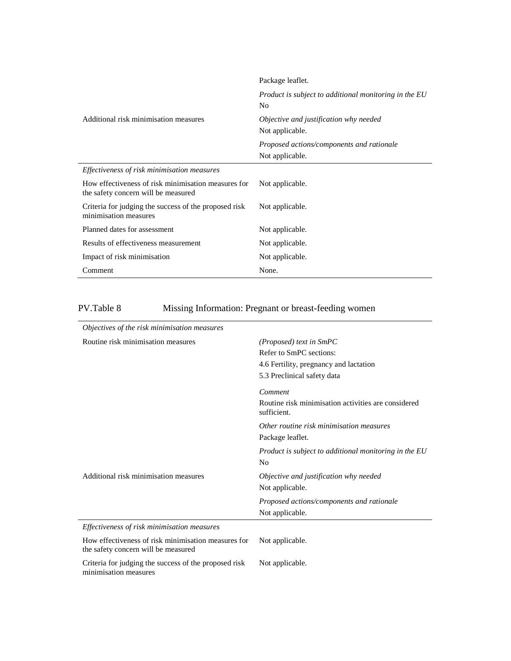|                                                                                            | Package leaflet.                                                        |
|--------------------------------------------------------------------------------------------|-------------------------------------------------------------------------|
|                                                                                            | Product is subject to additional monitoring in the EU<br>N <sub>0</sub> |
| Additional risk minimisation measures                                                      | Objective and justification why needed<br>Not applicable.               |
|                                                                                            | Proposed actions/components and rationale<br>Not applicable.            |
| Effectiveness of risk minimisation measures                                                |                                                                         |
| How effectiveness of risk minimisation measures for<br>the safety concern will be measured | Not applicable.                                                         |
| Criteria for judging the success of the proposed risk<br>minimisation measures             | Not applicable.                                                         |
| Planned dates for assessment                                                               | Not applicable.                                                         |
| Results of effectiveness measurement                                                       | Not applicable.                                                         |
| Impact of risk minimisation                                                                | Not applicable.                                                         |
| Comment                                                                                    | None.                                                                   |

| PV.Table 8 | Missing Information: Pregnant or breast-feeding women |  |
|------------|-------------------------------------------------------|--|
|            |                                                       |  |

| Objectives of the risk minimisation measures                                               |                                                                    |
|--------------------------------------------------------------------------------------------|--------------------------------------------------------------------|
| Routine risk minimisation measures                                                         | (Proposed) text in SmPC                                            |
|                                                                                            | Refer to SmPC sections:                                            |
|                                                                                            | 4.6 Fertility, pregnancy and lactation                             |
|                                                                                            | 5.3 Preclinical safety data                                        |
|                                                                                            | Comment                                                            |
|                                                                                            | Routine risk minimisation activities are considered<br>sufficient. |
|                                                                                            | Other routine risk minimisation measures                           |
|                                                                                            | Package leaflet.                                                   |
|                                                                                            | Product is subject to additional monitoring in the EU              |
|                                                                                            | No                                                                 |
| Additional risk minimisation measures                                                      | Objective and justification why needed                             |
|                                                                                            | Not applicable.                                                    |
|                                                                                            | Proposed actions/components and rationale                          |
|                                                                                            | Not applicable.                                                    |
| Effectiveness of risk minimisation measures                                                |                                                                    |
| How effectiveness of risk minimisation measures for<br>the safety concern will be measured | Not applicable.                                                    |
| Criteria for judging the success of the proposed risk<br>minimisation measures             | Not applicable.                                                    |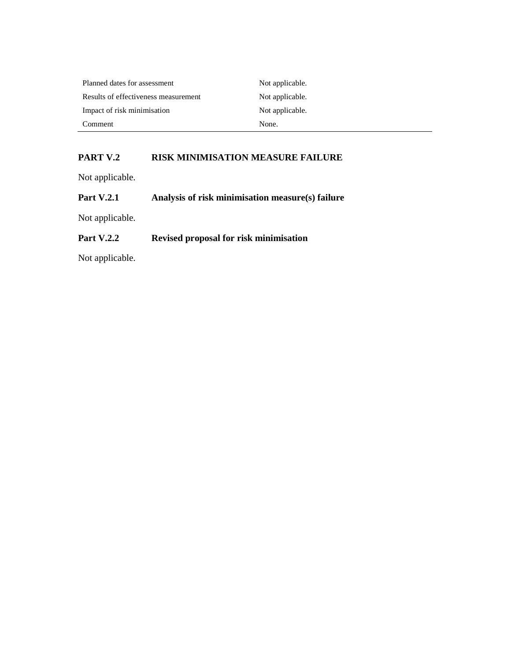| Planned dates for assessment         | Not applicable. |
|--------------------------------------|-----------------|
| Results of effectiveness measurement | Not applicable. |
| Impact of risk minimisation          | Not applicable. |
| Comment                              | None.           |

## **PART V.2 RISK MINIMISATION MEASURE FAILURE**

Not applicable.

| <b>Part V.2.1</b> |  | Analysis of risk minimisation measure(s) failure |  |
|-------------------|--|--------------------------------------------------|--|
|                   |  |                                                  |  |

Not applicable.

## **Part V.2.2 Revised proposal for risk minimisation**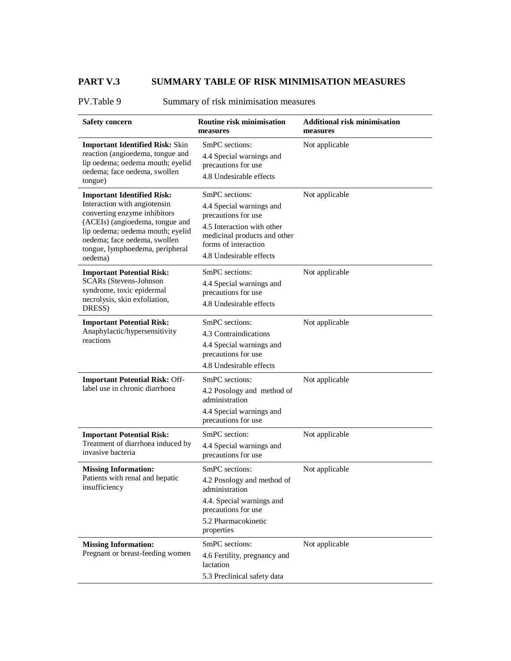# **PART V.3 SUMMARY TABLE OF RISK MINIMISATION MEASURES**

PV.Table 9 Summary of risk minimisation measures

| <b>Safety concern</b>                                                                                                                                                                                                                                  | <b>Routine risk minimisation</b><br>measures                                                                                                                                       | <b>Additional risk minimisation</b><br>measures |
|--------------------------------------------------------------------------------------------------------------------------------------------------------------------------------------------------------------------------------------------------------|------------------------------------------------------------------------------------------------------------------------------------------------------------------------------------|-------------------------------------------------|
| <b>Important Identified Risk: Skin</b><br>reaction (angioedema, tongue and<br>lip oedema; oedema mouth; eyelid<br>oedema; face oedema, swollen<br>tongue)                                                                                              | SmPC sections:<br>4.4 Special warnings and<br>precautions for use<br>4.8 Undesirable effects                                                                                       | Not applicable                                  |
| <b>Important Identified Risk:</b><br>Interaction with angiotensin<br>converting enzyme inhibitors<br>(ACEIs) (angioedema, tongue and<br>lip oedema; oedema mouth; eyelid<br>oedema; face oedema, swollen<br>tongue, lymphoedema, peripheral<br>oedema) | SmPC sections:<br>4.4 Special warnings and<br>precautions for use<br>4.5 Interaction with other<br>medicinal products and other<br>forms of interaction<br>4.8 Undesirable effects | Not applicable                                  |
| <b>Important Potential Risk:</b><br><b>SCARs</b> (Stevens-Johnson<br>syndrome, toxic epidermal<br>necrolysis, skin exfoliation,<br>DRESS)                                                                                                              | SmPC sections:<br>4.4 Special warnings and<br>precautions for use<br>4.8 Undesirable effects                                                                                       | Not applicable                                  |
| <b>Important Potential Risk:</b><br>Anaphylactic/hypersensitivity<br>reactions                                                                                                                                                                         | SmPC sections:<br>4.3 Contraindications<br>4.4 Special warnings and<br>precautions for use<br>4.8 Undesirable effects                                                              | Not applicable                                  |
| <b>Important Potential Risk: Off-</b><br>label use in chronic diarrhoea                                                                                                                                                                                | SmPC sections:<br>4.2 Posology and method of<br>administration<br>4.4 Special warnings and<br>precautions for use                                                                  | Not applicable                                  |
| <b>Important Potential Risk:</b><br>Treatment of diarrhoea induced by<br>invasive bacteria                                                                                                                                                             | SmPC section:<br>4.4 Special warnings and<br>precautions for use                                                                                                                   | Not applicable                                  |
| <b>Missing Information:</b><br>Patients with renal and hepatic<br>insufficiency                                                                                                                                                                        | SmPC sections:<br>4.2 Posology and method of<br>administration<br>4.4. Special warnings and<br>precautions for use<br>5.2 Pharmacokinetic<br>properties                            | Not applicable                                  |
| <b>Missing Information:</b><br>Pregnant or breast-feeding women                                                                                                                                                                                        | SmPC sections:<br>4.6 Fertility, pregnancy and<br>lactation<br>5.3 Preclinical safety data                                                                                         | Not applicable                                  |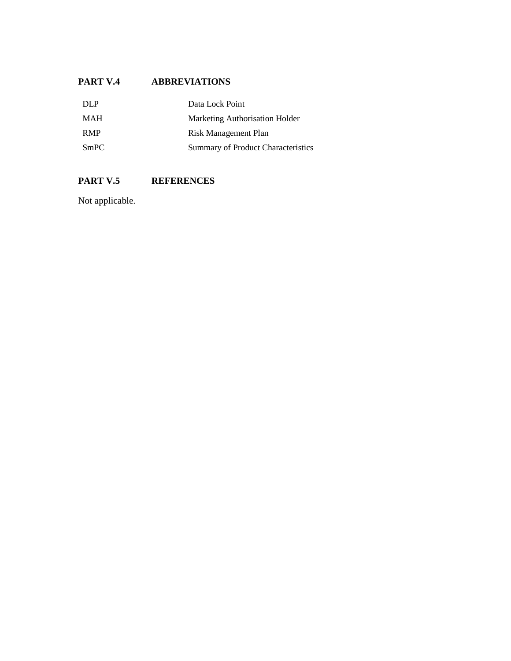## **PART V.4 ABBREVIATIONS**

| DLP        | Data Lock Point                    |
|------------|------------------------------------|
| <b>MAH</b> | Marketing Authorisation Holder     |
| <b>RMP</b> | Risk Management Plan               |
| SmPC       | Summary of Product Characteristics |

# **PART V.5 REFERENCES**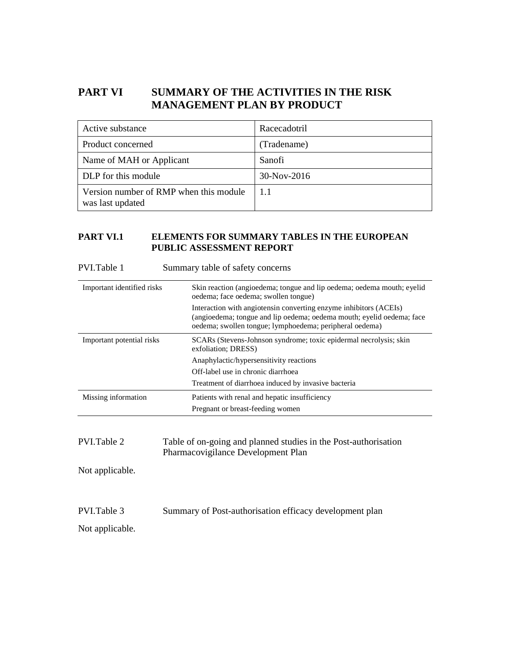# **PART VI SUMMARY OF THE ACTIVITIES IN THE RISK MANAGEMENT PLAN BY PRODUCT**

| Active substance                                           | Racecadotril  |
|------------------------------------------------------------|---------------|
| Product concerned                                          | (Tradename)   |
| Name of MAH or Applicant                                   | Sanofi        |
| DLP for this module                                        | $30-Nov-2016$ |
| Version number of RMP when this module<br>was last updated | 11            |

## **PART VI.1 ELEMENTS FOR SUMMARY TABLES IN THE EUROPEAN PUBLIC ASSESSMENT REPORT**

| PVI.Table 1                | Summary table of safety concerns                                                                                                                                                                      |
|----------------------------|-------------------------------------------------------------------------------------------------------------------------------------------------------------------------------------------------------|
| Important identified risks | Skin reaction (angioedema; tongue and lip oedema; oedema mouth; eyelid<br>oedema; face oedema; swollen tongue)                                                                                        |
|                            | Interaction with angiotensin converting enzyme inhibitors (ACEIs)<br>(angioedema; tongue and lip oedema; oedema mouth; eyelid oedema; face<br>oedema; swollen tongue; lymphoedema; peripheral oedema) |
| Important potential risks  | SCARs (Stevens-Johnson syndrome; toxic epidermal necrolysis; skin<br>exfoliation; DRESS)                                                                                                              |
|                            | Anaphylactic/hypersensitivity reactions                                                                                                                                                               |
|                            | Off-label use in chronic diarrhoea                                                                                                                                                                    |
|                            | Treatment of diarrhoea induced by invasive bacteria                                                                                                                                                   |
| Missing information        | Patients with renal and hepatic insufficiency                                                                                                                                                         |
|                            | Pregnant or breast-feeding women                                                                                                                                                                      |
| PVI.Table 2                | Table of on-going and planned studies in the Post-authorisation<br>Pharmacovigilance Development Plan                                                                                                 |
| Not applicable.            |                                                                                                                                                                                                       |

PVI.Table 3 Summary of Post-authorisation efficacy development plan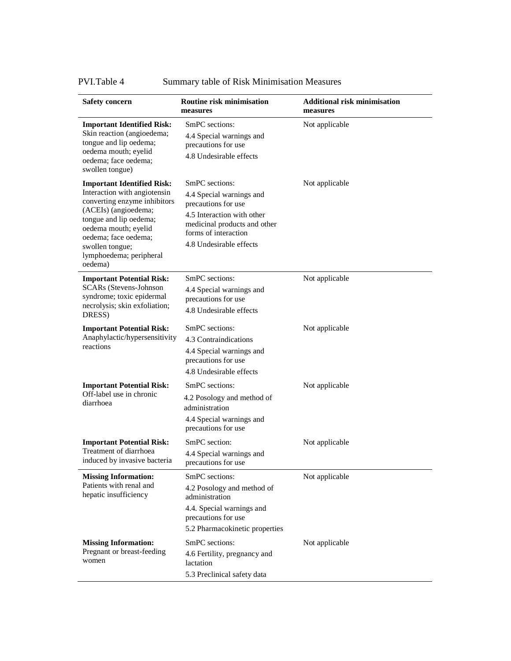PVI.Table 4 Summary table of Risk Minimisation Measures

| <b>Safety concern</b>                                                                                                                                                                                                                                        | <b>Routine risk minimisation</b><br>measures                                                                                                                                       | <b>Additional risk minimisation</b><br>measures |
|--------------------------------------------------------------------------------------------------------------------------------------------------------------------------------------------------------------------------------------------------------------|------------------------------------------------------------------------------------------------------------------------------------------------------------------------------------|-------------------------------------------------|
| <b>Important Identified Risk:</b><br>Skin reaction (angioedema;<br>tongue and lip oedema;<br>oedema mouth; eyelid<br>oedema; face oedema;<br>swollen tongue)                                                                                                 | SmPC sections:<br>4.4 Special warnings and<br>precautions for use<br>4.8 Undesirable effects                                                                                       | Not applicable                                  |
| <b>Important Identified Risk:</b><br>Interaction with angiotensin<br>converting enzyme inhibitors<br>(ACEIs) (angioedema;<br>tongue and lip oedema;<br>oedema mouth; eyelid<br>oedema; face oedema;<br>swollen tongue;<br>lymphoedema; peripheral<br>oedema) | SmPC sections:<br>4.4 Special warnings and<br>precautions for use<br>4.5 Interaction with other<br>medicinal products and other<br>forms of interaction<br>4.8 Undesirable effects | Not applicable                                  |
| <b>Important Potential Risk:</b><br><b>SCARs</b> (Stevens-Johnson<br>syndrome; toxic epidermal<br>necrolysis; skin exfoliation;<br>DRESS)                                                                                                                    | SmPC sections:<br>4.4 Special warnings and<br>precautions for use<br>4.8 Undesirable effects                                                                                       | Not applicable                                  |
| <b>Important Potential Risk:</b><br>Anaphylactic/hypersensitivity<br>reactions                                                                                                                                                                               | SmPC sections:<br>4.3 Contraindications<br>4.4 Special warnings and<br>precautions for use<br>4.8 Undesirable effects                                                              | Not applicable                                  |
| <b>Important Potential Risk:</b><br>Off-label use in chronic<br>diarrhoea                                                                                                                                                                                    | SmPC sections:<br>4.2 Posology and method of<br>administration<br>4.4 Special warnings and<br>precautions for use                                                                  | Not applicable                                  |
| <b>Important Potential Risk:</b><br>Treatment of diarrhoea<br>induced by invasive bacteria                                                                                                                                                                   | SmPC section:<br>4.4 Special warnings and<br>precautions for use                                                                                                                   | Not applicable                                  |
| <b>Missing Information:</b><br>Patients with renal and<br>hepatic insufficiency                                                                                                                                                                              | SmPC sections:<br>4.2 Posology and method of<br>administration<br>4.4. Special warnings and<br>precautions for use<br>5.2 Pharmacokinetic properties                               | Not applicable                                  |
| <b>Missing Information:</b><br>Pregnant or breast-feeding<br>women                                                                                                                                                                                           | SmPC sections:<br>4.6 Fertility, pregnancy and<br>lactation<br>5.3 Preclinical safety data                                                                                         | Not applicable                                  |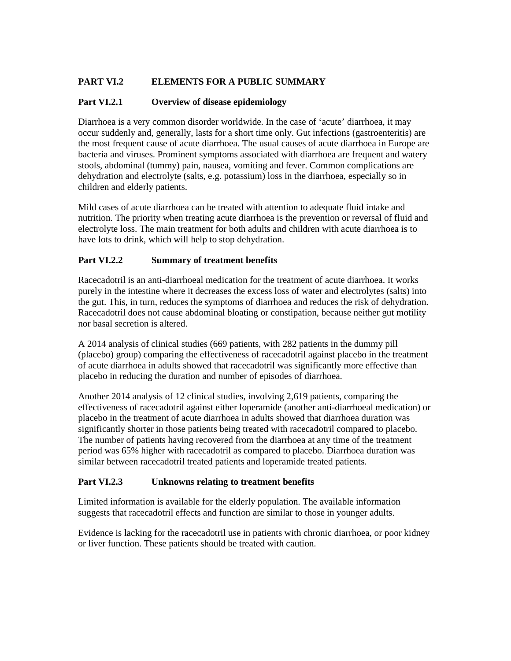## **PART VI.2 ELEMENTS FOR A PUBLIC SUMMARY**

#### **Part VI.2.1 Overview of disease epidemiology**

Diarrhoea is a very common disorder worldwide. In the case of 'acute' diarrhoea, it may occur suddenly and, generally, lasts for a short time only. Gut infections (gastroenteritis) are the most frequent cause of acute diarrhoea. The usual causes of acute diarrhoea in Europe are bacteria and viruses. Prominent symptoms associated with diarrhoea are frequent and watery stools, abdominal (tummy) pain, nausea, vomiting and fever. Common complications are dehydration and electrolyte (salts, e.g. potassium) loss in the diarrhoea, especially so in children and elderly patients.

Mild cases of acute diarrhoea can be treated with attention to adequate fluid intake and nutrition. The priority when treating acute diarrhoea is the prevention or reversal of fluid and electrolyte loss. The main treatment for both adults and children with acute diarrhoea is to have lots to drink, which will help to stop dehydration.

#### **Part VI.2.2 Summary of treatment benefits**

Racecadotril is an anti-diarrhoeal medication for the treatment of acute diarrhoea. It works purely in the intestine where it decreases the excess loss of water and electrolytes (salts) into the gut. This, in turn, reduces the symptoms of diarrhoea and reduces the risk of dehydration. Racecadotril does not cause abdominal bloating or constipation, because neither gut motility nor basal secretion is altered.

A 2014 analysis of clinical studies (669 patients, with 282 patients in the dummy pill (placebo) group) comparing the effectiveness of racecadotril against placebo in the treatment of acute diarrhoea in adults showed that racecadotril was significantly more effective than placebo in reducing the duration and number of episodes of diarrhoea.

Another 2014 analysis of 12 clinical studies, involving 2,619 patients, comparing the effectiveness of racecadotril against either loperamide (another anti-diarrhoeal medication) or placebo in the treatment of acute diarrhoea in adults showed that diarrhoea duration was significantly shorter in those patients being treated with racecadotril compared to placebo. The number of patients having recovered from the diarrhoea at any time of the treatment period was 65% higher with racecadotril as compared to placebo. Diarrhoea duration was similar between racecadotril treated patients and loperamide treated patients.

#### **Part VI.2.3 Unknowns relating to treatment benefits**

Limited information is available for the elderly population. The available information suggests that racecadotril effects and function are similar to those in younger adults.

Evidence is lacking for the racecadotril use in patients with chronic diarrhoea, or poor kidney or liver function. These patients should be treated with caution.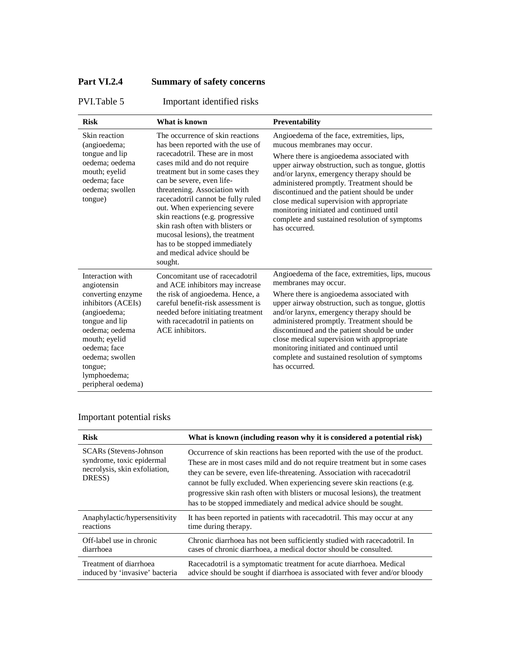# **Part VI.2.4 Summary of safety concerns**

PVI.Table 5 Important identified risks

| <b>Risk</b>                                                                                                                                                                                                                         | What is known                                                                                                                                                                                                                                                                                                                                                                                                                                                                                             | Preventability                                                                                                                                                                                                                                                                                                                                                                                                                                                                      |
|-------------------------------------------------------------------------------------------------------------------------------------------------------------------------------------------------------------------------------------|-----------------------------------------------------------------------------------------------------------------------------------------------------------------------------------------------------------------------------------------------------------------------------------------------------------------------------------------------------------------------------------------------------------------------------------------------------------------------------------------------------------|-------------------------------------------------------------------------------------------------------------------------------------------------------------------------------------------------------------------------------------------------------------------------------------------------------------------------------------------------------------------------------------------------------------------------------------------------------------------------------------|
| Skin reaction<br>(angioedema;<br>tongue and lip<br>oedema: oedema<br>mouth; eyelid<br>oedema; face<br>oedema: swollen<br>tongue)                                                                                                    | The occurrence of skin reactions<br>has been reported with the use of<br>racecadotril. These are in most<br>cases mild and do not require<br>treatment but in some cases they<br>can be severe, even life-<br>threatening. Association with<br>racecadotril cannot be fully ruled<br>out. When experiencing severe<br>skin reactions (e.g. progressive<br>skin rash often with blisters or<br>mucosal lesions), the treatment<br>has to be stopped immediately<br>and medical advice should be<br>sought. | Angioedema of the face, extremities, lips,<br>mucous membranes may occur.<br>Where there is angioedema associated with<br>upper airway obstruction, such as tongue, glottis<br>and/or larynx, emergency therapy should be<br>administered promptly. Treatment should be<br>discontinued and the patient should be under<br>close medical supervision with appropriate<br>monitoring initiated and continued until<br>complete and sustained resolution of symptoms<br>has occurred. |
| Interaction with<br>angiotensin<br>converting enzyme<br>inhibitors (ACEIs)<br>(angioedema;<br>tongue and lip<br>oedema; oedema<br>mouth; eyelid<br>oedema: face<br>oedema; swollen<br>tongue;<br>lymphoedema;<br>peripheral oedema) | Concomitant use of racecadotril<br>and ACE inhibitors may increase<br>the risk of angioedema. Hence, a<br>careful benefit-risk assessment is<br>needed before initiating treatment<br>with racecadotril in patients on<br>ACE inhibitors.                                                                                                                                                                                                                                                                 | Angioedema of the face, extremities, lips, mucous<br>membranes may occur.<br>Where there is angioedema associated with<br>upper airway obstruction, such as tongue, glottis<br>and/or larynx, emergency therapy should be<br>administered promptly. Treatment should be<br>discontinued and the patient should be under<br>close medical supervision with appropriate<br>monitoring initiated and continued until<br>complete and sustained resolution of symptoms<br>has occurred. |

# Important potential risks

| <b>Risk</b>                                                                                            | What is known (including reason why it is considered a potential risk)                                                                                                                                                                                                                                                                                                                                                                                                  |
|--------------------------------------------------------------------------------------------------------|-------------------------------------------------------------------------------------------------------------------------------------------------------------------------------------------------------------------------------------------------------------------------------------------------------------------------------------------------------------------------------------------------------------------------------------------------------------------------|
| <b>SCARs</b> (Stevens-Johnson)<br>syndrome, toxic epidermal<br>necrolysis, skin exfoliation,<br>DRESS) | Occurrence of skin reactions has been reported with the use of the product.<br>These are in most cases mild and do not require treatment but in some cases<br>they can be severe, even life-threatening. Association with racecadotril<br>cannot be fully excluded. When experiencing severe skin reactions (e.g.<br>progressive skin rash often with blisters or mucosal lesions), the treatment<br>has to be stopped immediately and medical advice should be sought. |
| Anaphylactic/hypersensitivity                                                                          | It has been reported in patients with racecadotril. This may occur at any                                                                                                                                                                                                                                                                                                                                                                                               |
| reactions                                                                                              | time during therapy.                                                                                                                                                                                                                                                                                                                                                                                                                                                    |
| Off-label use in chronic                                                                               | Chronic diarrhoea has not been sufficiently studied with racecadotril. In                                                                                                                                                                                                                                                                                                                                                                                               |
| diarrhoea                                                                                              | cases of chronic diarrhoea, a medical doctor should be consulted.                                                                                                                                                                                                                                                                                                                                                                                                       |
| Treatment of diarrhoea                                                                                 | Racecadotril is a symptomatic treatment for acute diarrhoea. Medical                                                                                                                                                                                                                                                                                                                                                                                                    |
| induced by 'invasive' bacteria                                                                         | advice should be sought if diarrhoea is associated with fever and/or bloody                                                                                                                                                                                                                                                                                                                                                                                             |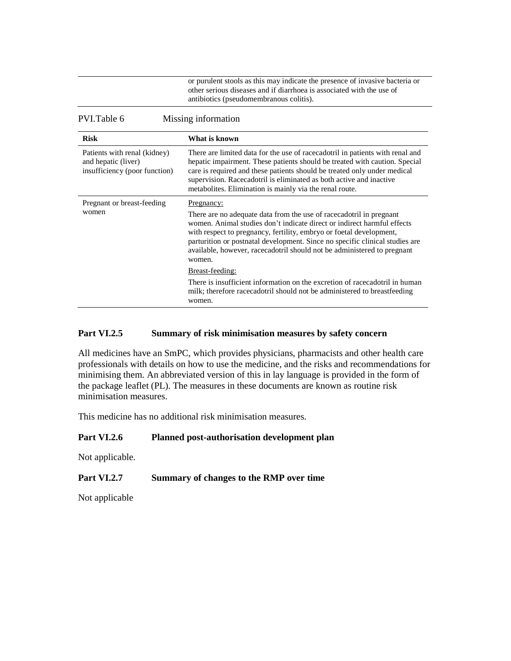| or purulent stools as this may indicate the presence of invasive bacteria or |
|------------------------------------------------------------------------------|
| other serious diseases and if diarrhoea is associated with the use of        |
| antibiotics (pseudomembranous colitis).                                      |

PVI.Table 6 Missing information

| <b>Risk</b>                                                                          | What is known                                                                                                                                                                                                                                                                                                                                                                                            |
|--------------------------------------------------------------------------------------|----------------------------------------------------------------------------------------------------------------------------------------------------------------------------------------------------------------------------------------------------------------------------------------------------------------------------------------------------------------------------------------------------------|
| Patients with renal (kidney)<br>and hepatic (liver)<br>insufficiency (poor function) | There are limited data for the use of racecadotril in patients with renal and<br>hepatic impairment. These patients should be treated with caution. Special<br>care is required and these patients should be treated only under medical<br>supervision. Racecadotril is eliminated as both active and inactive<br>metabolites. Elimination is mainly via the renal route.                                |
| Pregnant or breast-feeding<br>women                                                  | Pregnancy:<br>There are no adequate data from the use of racecadotril in pregnant<br>women. Animal studies don't indicate direct or indirect harmful effects<br>with respect to pregnancy, fertility, embryo or foetal development,<br>parturition or postnatal development. Since no specific clinical studies are<br>available, however, racecadotril should not be administered to pregnant<br>women. |
|                                                                                      | Breast-feeding:<br>There is insufficient information on the excretion of racecadotril in human<br>milk; therefore racecadotril should not be administered to breastfeeding<br>women.                                                                                                                                                                                                                     |

## **Part VI.2.5 Summary of risk minimisation measures by safety concern**

All medicines have an SmPC, which provides physicians, pharmacists and other health care professionals with details on how to use the medicine, and the risks and recommendations for minimising them. An abbreviated version of this in lay language is provided in the form of the package leaflet (PL). The measures in these documents are known as routine risk minimisation measures.

This medicine has no additional risk minimisation measures.

#### **Part VI.2.6 Planned post-authorisation development plan**

Not applicable.

#### **Part VI.2.7 Summary of changes to the RMP over time**